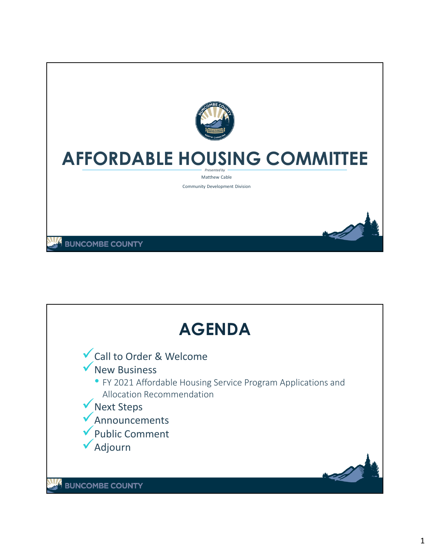

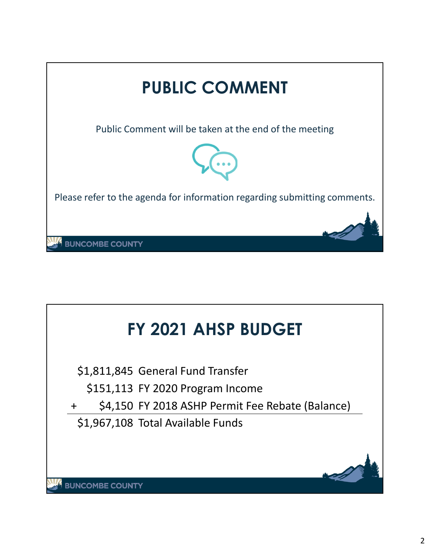

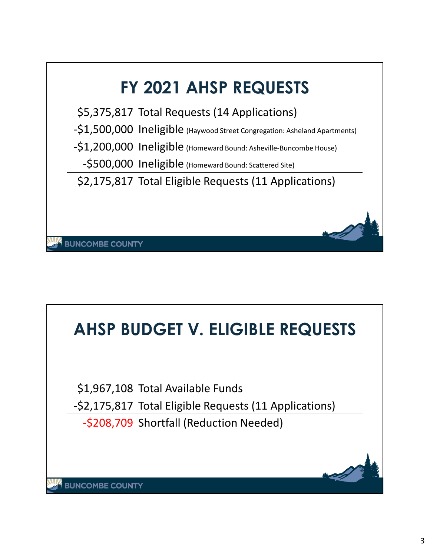

# **AHSP BUDGET V. ELIGIBLE REQUESTS** \$1,967,108 Total Available Funds -\$2,175,817 Total Eligible Requests (11 Applications) -\$208,709 Shortfall (Reduction Needed)**BUNCOMBE COUNTY**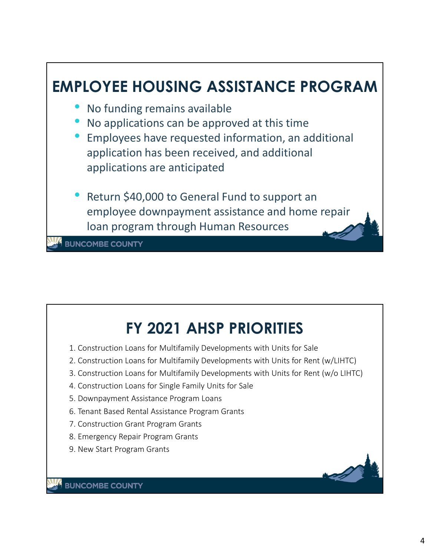

# **FY 2021 AHSP PRIORITIES**

- 1. Construction Loans for Multifamily Developments with Units for Sale
- 2. Construction Loans for Multifamily Developments with Units for Rent (w/LIHTC)
- 3. Construction Loans for Multifamily Developments with Units for Rent (w/o LIHTC)
- 4. Construction Loans for Single Family Units for Sale
- 5. Downpayment Assistance Program Loans
- 6. Tenant Based Rental Assistance Program Grants
- 7. Construction Grant Program Grants
- 8. Emergency Repair Program Grants
- 9. New Start Program Grants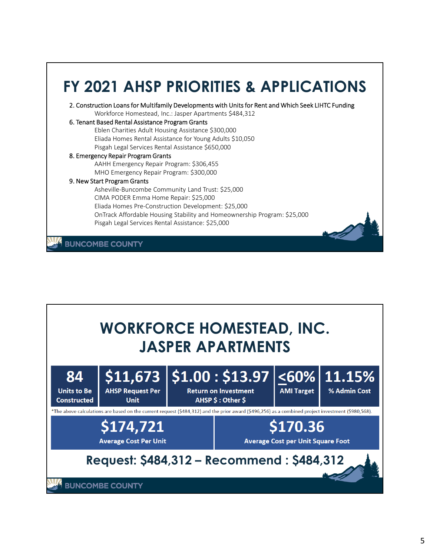#### **FY 2021 AHSP PRIORITIES & APPLICATIONS** 2. Construction Loans for Multifamily Developments with Units for Rent and Which Seek LIHTC Funding Workforce Homestead, Inc.: Jasper Apartments \$484,312 6. Tenant Based Rental Assistance Program Grants Eblen Charities Adult Housing Assistance \$300,000 Eliada Homes Rental Assistance for Young Adults \$10,050 Pisgah Legal Services Rental Assistance \$650,000 8. Emergency Repair Program Grants AAHH Emergency Repair Program: \$306,455 MHO Emergency Repair Program: \$300,000 9. New Start Program Grants Asheville-Buncombe Community Land Trust: \$25,000 CIMA PODER Emma Home Repair: \$25,000 Eliada Homes Pre-Construction Development: \$25,000 OnTrack Affordable Housing Stability and Homeownership Program: \$25,000 Pisgah Legal Services Rental Assistance: \$25,000 **BUNCOMBE COUNTY**

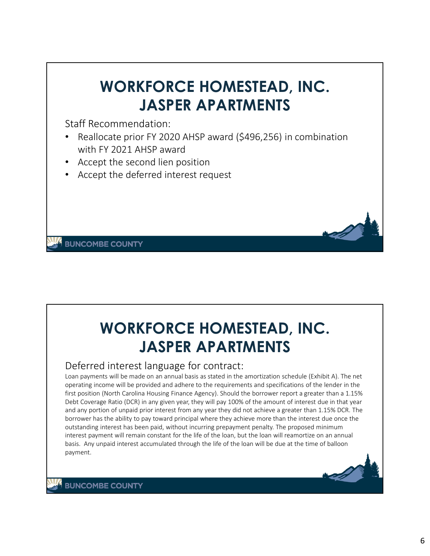# **WORKFORCE HOMESTEAD, INC. JASPER APARTMENTS**

Staff Recommendation:

- Reallocate prior FY 2020 AHSP award (\$496,256) in combination with FY 2021 AHSP award
- Accept the second lien position
- Accept the deferred interest request

**BUNCOMBE COUNTY** 

# **WORKFORCE HOMESTEAD, INC. JASPER APARTMENTS**

### Deferred interest language for contract:

Loan payments will be made on an annual basis as stated in the amortization schedule (Exhibit A). The net operating income will be provided and adhere to the requirements and specifications of the lender in the first position (North Carolina Housing Finance Agency). Should the borrower report a greater than a 1.15% Debt Coverage Ratio (DCR) in any given year, they will pay 100% of the amount of interest due in that year and any portion of unpaid prior interest from any year they did not achieve a greater than 1.15% DCR. The borrower has the ability to pay toward principal where they achieve more than the interest due once the outstanding interest has been paid, without incurring prepayment penalty. The proposed minimum interest payment will remain constant for the life of the loan, but the loan will reamortize on an annual basis. Any unpaid interest accumulated through the life of the loan will be due at the time of balloon payment.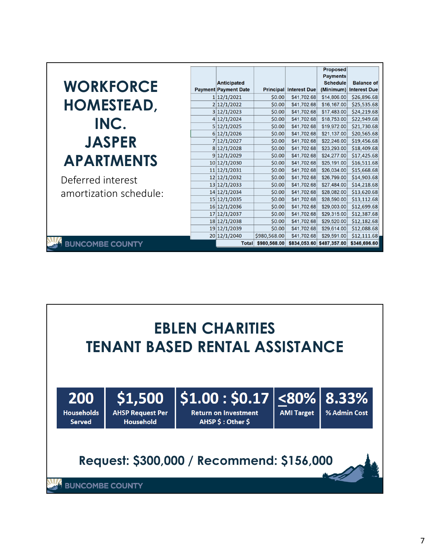|                        |                              |                  |                            | <b>Proposed</b>            |                            |
|------------------------|------------------------------|------------------|----------------------------|----------------------------|----------------------------|
|                        |                              |                  |                            | <b>Payments</b>            |                            |
| <b>WORKFORCE</b>       | Anticipated                  |                  |                            | <b>Schedule</b>            | <b>Balance of</b>          |
|                        | <b>Payment Payment Date</b>  |                  | Principal Interest Due     |                            | (Minimum) Interest Due     |
|                        | 1 12/1/2021                  | \$0.00           | \$41,702.68                | \$14,806.00                | \$26,896.68                |
| <b>HOMESTEAD,</b>      | 2 12/1/2022                  | \$0.00           | \$41,702.68                | \$16,167.00                | \$25,535.68                |
|                        | 3 12/1/2023                  | \$0.00           | \$41,702.68                | \$17,483.00                | \$24,219.68                |
| INC.                   | 4 12/1/2024                  | \$0.00           | \$41,702.68                | \$18,753.00                | \$22,949.68                |
|                        | 5 12/1/2025                  | \$0.00           | \$41,702.68                | \$19,972.00                | \$21,730.68                |
|                        | 6 12/1/2026                  | \$0.00           | \$41,702.68                | \$21,137.00                | \$20,565.68                |
| <b>JASPER</b>          | 7 12/1/2027                  | \$0.00           | \$41,702.68                | \$22,246.00                | \$19,456.68                |
|                        | 8 12/1/2028                  | \$0.00           | \$41,702.68                | \$23,293.00                | \$18,409.68                |
| <b>APARTMENTS</b>      | 9 12/1/2029                  | \$0.00           | \$41,702.68                | \$24,277.00                | \$17,425.68                |
|                        | 10 12/1/2030                 | \$0.00           | \$41,702.68                | \$25,191.00                | \$16,511.68                |
|                        | 11 12/1/2031<br>12 12/1/2032 | \$0.00<br>\$0.00 | \$41,702.68<br>\$41,702.68 | \$26,034.00<br>\$26,799.00 | \$15,668.68<br>\$14,903.68 |
| Deferred interest      | 13 12/1/2033                 | \$0.00           | \$41,702.68                | \$27,484.00                | \$14,218.68                |
|                        | 14 12/1/2034                 | \$0.00           | \$41,702.68                | \$28,082.00                | \$13,620.68                |
| amortization schedule: | 15 12/1/2035                 | \$0.00           | \$41,702.68                | \$28,590.00                | \$13,112.68                |
|                        | 16 12/1/2036                 | \$0.00           | \$41,702.68                | \$29,003.00                | \$12,699.68                |
|                        | 17 12/1/2037                 | \$0.00           | \$41,702.68                | \$29,315.00                | \$12,387.68                |
|                        | 18 12/1/2038                 | \$0.00           | \$41,702.68                | \$29,520.00                | \$12,182.68                |
|                        | 19 12/1/2039                 | \$0.00           | \$41,702.68                | \$29,614.00                | \$12,088.68                |
|                        | 20 12/1/2040                 | \$980,568.00     | \$41,702.68                | \$29,591.00                | \$12,111.68                |
| <b>BUNCOMBE COUNTY</b> | Total                        | \$980,568.00     | \$834,053.60               | \$487,357.00               | \$346,696.60               |

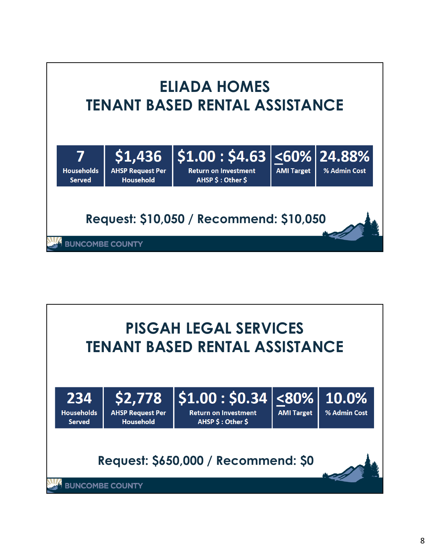

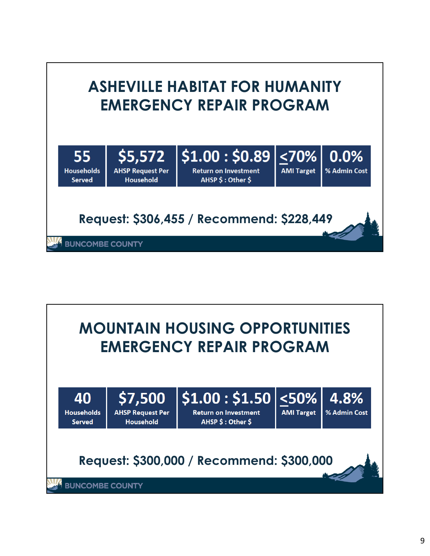

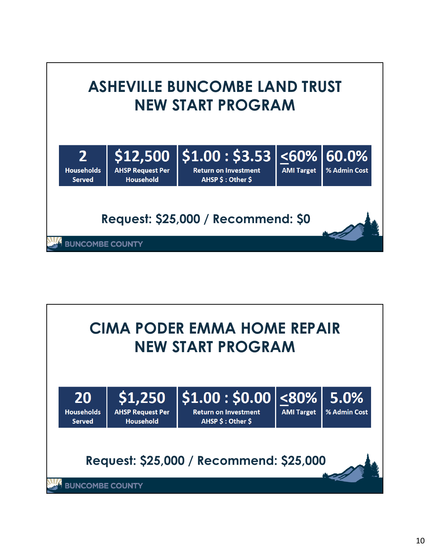

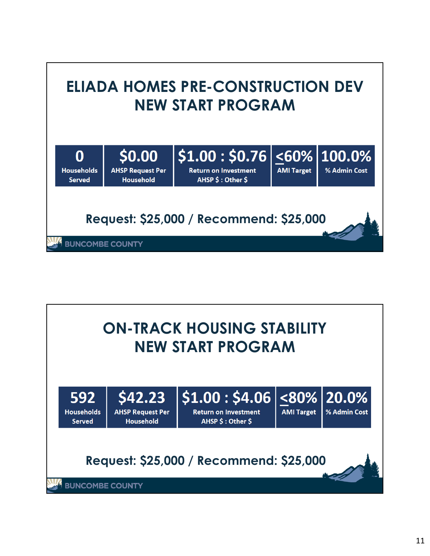

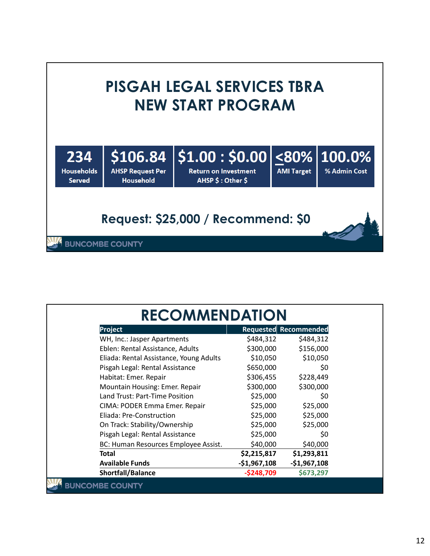#### **PISGAH LEGAL SERVICES TBRA NEW START PROGRAM**  $|$1.00: $0.00|\leq80\%$ \$106.84 100.0% 234 % Admin Cost **AMI Target Households AHSP Request Per Return on Investment Served** Household AHSP \$: Other \$

### **Request: \$25,000 / Recommend: \$0**

| Project                                 |               | Requested Recommended |
|-----------------------------------------|---------------|-----------------------|
| WH, Inc.: Jasper Apartments             | \$484,312     | \$484,312             |
| Eblen: Rental Assistance, Adults        | \$300,000     | \$156,000             |
| Eliada: Rental Assistance, Young Adults | \$10,050      | \$10,050              |
| Pisgah Legal: Rental Assistance         | \$650,000     | \$0                   |
| Habitat: Emer. Repair                   | \$306,455     | \$228,449             |
| Mountain Housing: Emer. Repair          | \$300,000     | \$300,000             |
| Land Trust: Part-Time Position          | \$25,000      | \$0                   |
| CIMA: PODER Emma Emer. Repair           | \$25,000      | \$25,000              |
| Eliada: Pre-Construction                | \$25,000      | \$25,000              |
| On Track: Stability/Ownership           | \$25,000      | \$25,000              |
| Pisgah Legal: Rental Assistance         | \$25,000      | \$0                   |
| BC: Human Resources Employee Assist.    | \$40,000      | \$40,000              |
| Total                                   | \$2,215,817   | \$1,293,811           |
| <b>Available Funds</b>                  | $-$1,967,108$ | $-$1,967,108$         |
| Shortfall/Balance                       | $-$ \$248,709 | \$673,297             |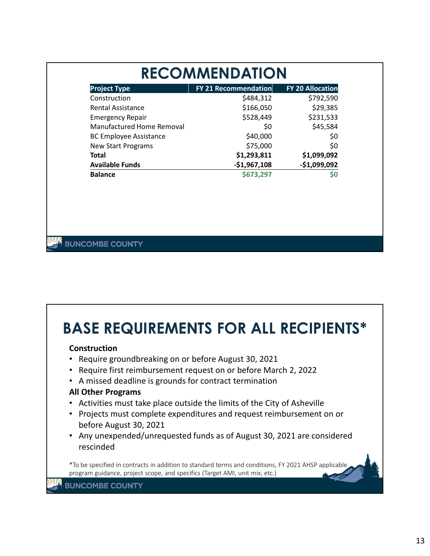| <b>RECOMMENDATION</b>       |                         |  |  |  |
|-----------------------------|-------------------------|--|--|--|
| <b>FY 21 Recommendation</b> | <b>FY 20 Allocation</b> |  |  |  |
| \$484,312                   | \$792,590               |  |  |  |
| \$166,050                   | \$29,385                |  |  |  |
| \$528,449                   | \$231,533               |  |  |  |
| \$0                         | \$45,584                |  |  |  |
| \$40,000                    | \$0                     |  |  |  |
| \$75,000                    | \$0                     |  |  |  |
| \$1,293,811                 | \$1,099,092             |  |  |  |
| $-$1,967,108$               | $-$1,099,092$           |  |  |  |
| \$673,297                   | S0                      |  |  |  |
|                             |                         |  |  |  |

#### **BUNCOMBE COUNTY**

### **BASE REQUIREMENTS FOR ALL RECIPIENTS\***

#### **Construction**

- Require groundbreaking on or before August 30, 2021
- Require first reimbursement request on or before March 2, 2022
- A missed deadline is grounds for contract termination

#### **All Other Programs**

- Activities must take place outside the limits of the City of Asheville
- Projects must complete expenditures and request reimbursement on or before August 30, 2021
- Any unexpended/unrequested funds as of August 30, 2021 are considered rescinded

\*To be specified in contracts in addition to standard terms and conditions, FY 2021 AHSP applicable program guidance, project scope, and specifics (Target AMI, unit mix, etc.)